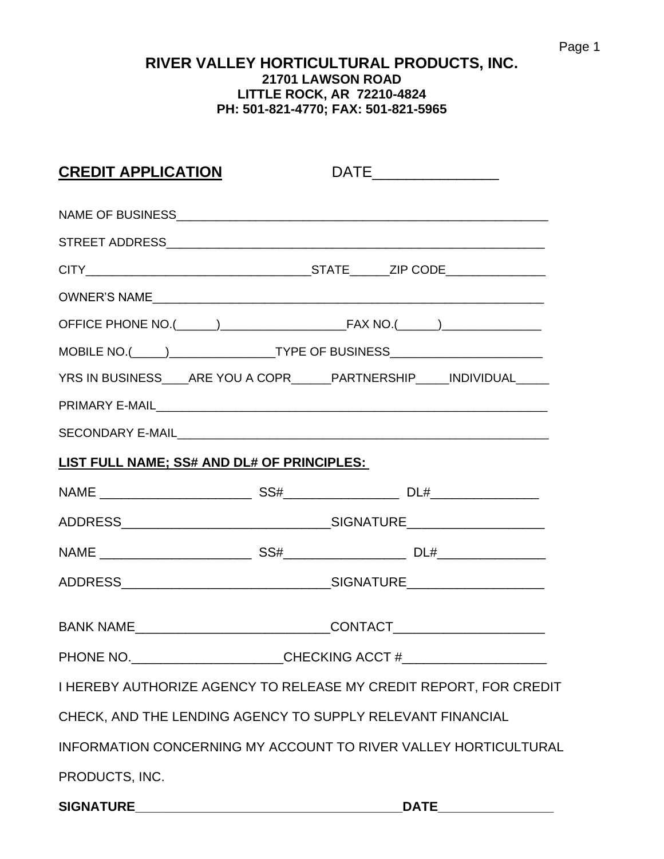### **RIVER VALLEY HORTICULTURAL PRODUCTS, INC. 21701 LAWSON ROAD LITTLE ROCK, AR 72210-4824 PH: 501-821-4770; FAX: 501-821-5965**

| <b>CREDIT APPLICATION</b>                                                                |                                                                                  | $\begin{picture}(25,20) \put(0,0){\dashbox{0.5}(5,0){$\cdots$}} \put(15,0){\circle{10}} \put(25,0){\circle{10}} \put(25,0){\circle{10}} \put(25,0){\circle{10}} \put(25,0){\circle{10}} \put(25,0){\circle{10}} \put(25,0){\circle{10}} \put(25,0){\circle{10}} \put(25,0){\circle{10}} \put(25,0){\circle{10}} \put(25,0){\circle{10}} \put(25,0){\circle{10}} \put(25,0){\circle{10}} \put($ |             |  |
|------------------------------------------------------------------------------------------|----------------------------------------------------------------------------------|------------------------------------------------------------------------------------------------------------------------------------------------------------------------------------------------------------------------------------------------------------------------------------------------------------------------------------------------------------------------------------------------|-------------|--|
|                                                                                          |                                                                                  |                                                                                                                                                                                                                                                                                                                                                                                                |             |  |
|                                                                                          |                                                                                  |                                                                                                                                                                                                                                                                                                                                                                                                |             |  |
|                                                                                          |                                                                                  |                                                                                                                                                                                                                                                                                                                                                                                                |             |  |
|                                                                                          |                                                                                  |                                                                                                                                                                                                                                                                                                                                                                                                |             |  |
|                                                                                          |                                                                                  |                                                                                                                                                                                                                                                                                                                                                                                                |             |  |
|                                                                                          |                                                                                  |                                                                                                                                                                                                                                                                                                                                                                                                |             |  |
|                                                                                          |                                                                                  |                                                                                                                                                                                                                                                                                                                                                                                                |             |  |
| YRS IN BUSINESS____ARE YOU A COPR______PARTNERSHIP_____INDIVIDUAL_____                   |                                                                                  |                                                                                                                                                                                                                                                                                                                                                                                                |             |  |
|                                                                                          |                                                                                  |                                                                                                                                                                                                                                                                                                                                                                                                |             |  |
|                                                                                          |                                                                                  |                                                                                                                                                                                                                                                                                                                                                                                                |             |  |
| LIST FULL NAME; SS# AND DL# OF PRINCIPLES:                                               |                                                                                  |                                                                                                                                                                                                                                                                                                                                                                                                |             |  |
|                                                                                          |                                                                                  |                                                                                                                                                                                                                                                                                                                                                                                                |             |  |
|                                                                                          |                                                                                  |                                                                                                                                                                                                                                                                                                                                                                                                |             |  |
|                                                                                          |                                                                                  |                                                                                                                                                                                                                                                                                                                                                                                                |             |  |
|                                                                                          |                                                                                  |                                                                                                                                                                                                                                                                                                                                                                                                |             |  |
|                                                                                          |                                                                                  |                                                                                                                                                                                                                                                                                                                                                                                                |             |  |
|                                                                                          | BANK NAME__________________________________CONTACT______________________________ |                                                                                                                                                                                                                                                                                                                                                                                                |             |  |
|                                                                                          | PHONE NO. __________________________CHECKING ACCT #_____________________________ |                                                                                                                                                                                                                                                                                                                                                                                                |             |  |
| I HEREBY AUTHORIZE AGENCY TO RELEASE MY CREDIT REPORT, FOR CREDIT                        |                                                                                  |                                                                                                                                                                                                                                                                                                                                                                                                |             |  |
| CHECK, AND THE LENDING AGENCY TO SUPPLY RELEVANT FINANCIAL                               |                                                                                  |                                                                                                                                                                                                                                                                                                                                                                                                |             |  |
| INFORMATION CONCERNING MY ACCOUNT TO RIVER VALLEY HORTICULTURAL                          |                                                                                  |                                                                                                                                                                                                                                                                                                                                                                                                |             |  |
| PRODUCTS, INC.                                                                           |                                                                                  |                                                                                                                                                                                                                                                                                                                                                                                                |             |  |
| <b>SIGNATURE</b><br><u> 2000 - Jan James James Barnett, amerikansk politik (d. 1982)</u> |                                                                                  |                                                                                                                                                                                                                                                                                                                                                                                                | <b>DATE</b> |  |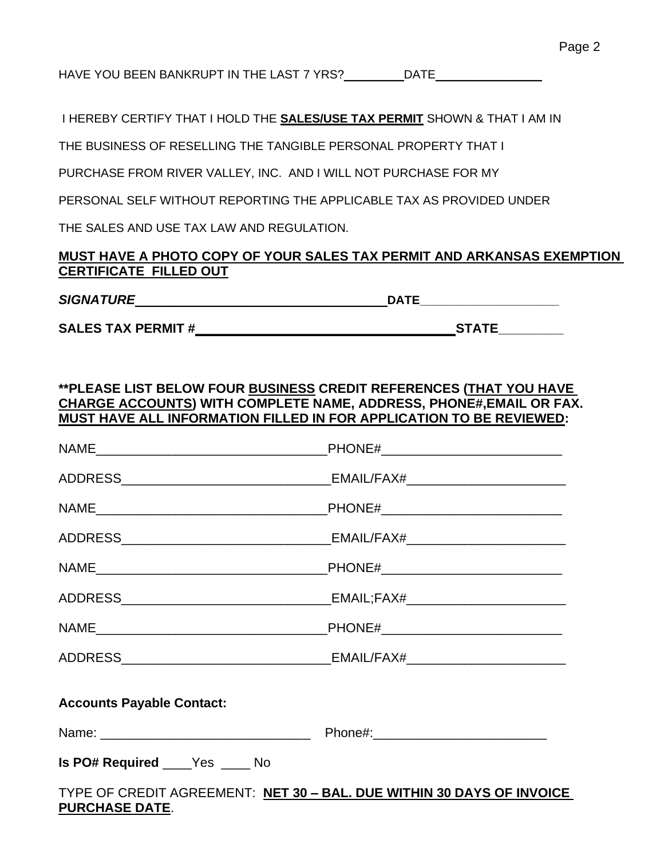HAVE YOU BEEN BANKRUPT IN THE LAST 7 YRS?\_\_\_\_\_\_\_\_\_DATE\_\_\_\_\_\_\_\_\_\_\_\_\_\_\_\_\_\_\_\_\_\_\_\_\_\_

I HEREBY CERTIFY THAT I HOLD THE **SALES/USE TAX PERMIT** SHOWN & THAT I AM IN

THE BUSINESS OF RESELLING THE TANGIBLE PERSONAL PROPERTY THAT I

PURCHASE FROM RIVER VALLEY, INC. AND I WILL NOT PURCHASE FOR MY

PERSONAL SELF WITHOUT REPORTING THE APPLICABLE TAX AS PROVIDED UNDER

THE SALES AND USE TAX LAW AND REGULATION.

#### **MUST HAVE A PHOTO COPY OF YOUR SALES TAX PERMIT AND ARKANSAS EXEMPTION CERTIFICATE FILLED OUT**

#### *SIGNATURE*\_\_\_\_\_\_\_\_\_\_\_\_\_\_\_\_\_\_\_\_\_\_\_\_\_\_\_\_\_\_\_\_\_\_\_\_\_\_**DATE\_\_\_\_\_\_\_\_\_\_\_\_\_\_\_\_\_\_\_\_\_**

**SALES TAX PERMIT #\_\_\_\_\_\_\_\_\_\_\_\_\_\_\_\_\_\_\_\_\_\_\_\_\_\_\_\_\_\_\_\_\_\_\_\_STATE\_\_\_\_\_\_\_\_\_**

#### **\*\*PLEASE LIST BELOW FOUR BUSINESS CREDIT REFERENCES (THAT YOU HAVE CHARGE ACCOUNTS) WITH COMPLETE NAME, ADDRESS, PHONE#,EMAIL OR FAX. MUST HAVE ALL INFORMATION FILLED IN FOR APPLICATION TO BE REVIEWED:**

|                                                                                               | _PHONE#_________________________________ |  |  |
|-----------------------------------------------------------------------------------------------|------------------------------------------|--|--|
|                                                                                               |                                          |  |  |
|                                                                                               |                                          |  |  |
|                                                                                               |                                          |  |  |
|                                                                                               |                                          |  |  |
|                                                                                               |                                          |  |  |
|                                                                                               |                                          |  |  |
|                                                                                               |                                          |  |  |
| <b>Accounts Payable Contact:</b>                                                              |                                          |  |  |
|                                                                                               |                                          |  |  |
| Is PO# Required _____ Yes _____ No                                                            |                                          |  |  |
| TYPE OF CREDIT AGREEMENT: NET 30 - BAL. DUE WITHIN 30 DAYS OF INVOICE<br><b>DUDAUACE DATE</b> |                                          |  |  |

#### **PURCHASE DATE**.